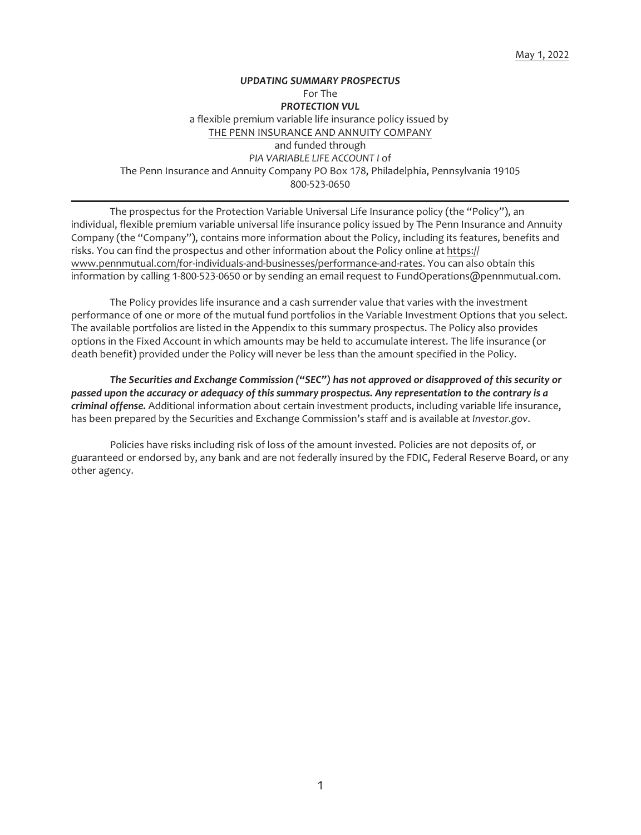# *UPDATING SUMMARY PROSPECTUS* For The *PROTECTION VUL* a flexible premium variable life insurance policy issued by THE PENN INSURANCE AND ANNUITY COMPANY and funded through *PIA VARIABLE LIFE ACCOUNT I* of The Penn Insurance and Annuity Company PO Box 178, Philadelphia, Pennsylvania 19105 800-523-0650

The prospectus for the Protection Variable Universal Life Insurance policy (the "Policy"), an individual, flexible premium variable universal life insurance policy issued by The Penn Insurance and Annuity Company (the "Company"), contains more information about the Policy, including its features, benefits and risks. You can find the prospectus and other information about the Policy online at https:// www.pennmutual.com/for-individuals-and-businesses/performance-and-rates. You can also obtain this information by calling 1-800-523-0650 or by sending an email request to FundOperations@pennmutual.com.

The Policy provides life insurance and a cash surrender value that varies with the investment performance of one or more of the mutual fund portfolios in the Variable Investment Options that you select. The available portfolios are listed in the Appendix to this summary prospectus. The Policy also provides options in the Fixed Account in which amounts may be held to accumulate interest. The life insurance (or death benefit) provided under the Policy will never be less than the amount specified in the Policy.

*The Securities and Exchange Commission ("SEC") has not approved or disapproved of this security or passed upon the accuracy or adequacy of this summary prospectus. Any representation to the contrary is a criminal offense.* Additional information about certain investment products, including variable life insurance, has been prepared by the Securities and Exchange Commission's staff and is available at *Investor.gov*.

Policies have risks including risk of loss of the amount invested. Policies are not deposits of, or guaranteed or endorsed by, any bank and are not federally insured by the FDIC, Federal Reserve Board, or any other agency.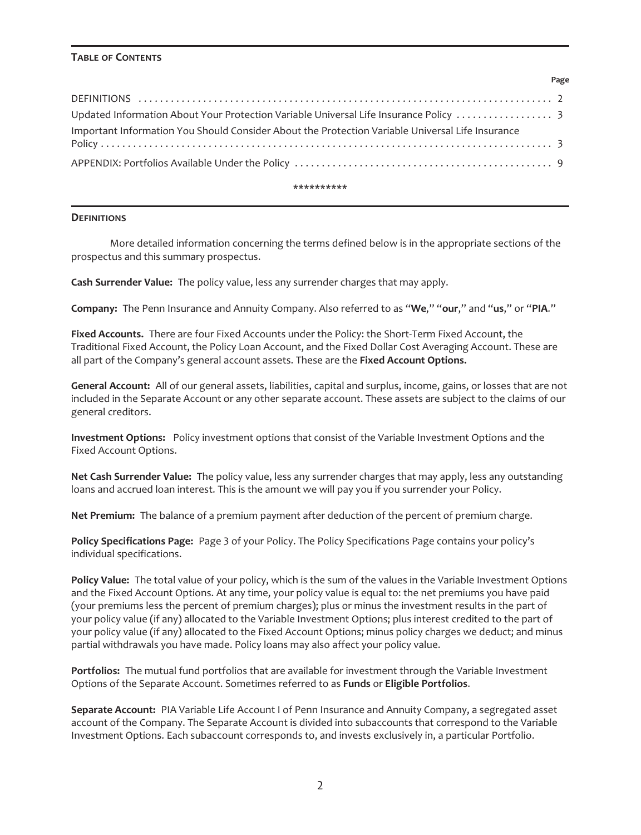### **TABLE OF CONTENTS**

| Important Information You Should Consider About the Protection Variable Universal Life Insurance |  |
|--------------------------------------------------------------------------------------------------|--|
|                                                                                                  |  |

**Page**

#### **\*\*\*\*\*\*\*\*\*\***

### <span id="page-1-0"></span>**DEFINITIONS**

More detailed information concerning the terms defined below is in the appropriate sections of the prospectus and this summary prospectus.

**Cash Surrender Value:** The policy value, less any surrender charges that may apply.

**Company:** The Penn Insurance and Annuity Company. Also referred to as "**We**," "**our**," and "**us**," or "**PIA**."

**Fixed Accounts.** There are four Fixed Accounts under the Policy: the Short-Term Fixed Account, the Traditional Fixed Account, the Policy Loan Account, and the Fixed Dollar Cost Averaging Account. These are all part of the Company's general account assets. These are the **Fixed Account Options.**

**General Account:** All of our general assets, liabilities, capital and surplus, income, gains, or losses that are not included in the Separate Account or any other separate account. These assets are subject to the claims of our general creditors.

**Investment Options:** Policy investment options that consist of the Variable Investment Options and the Fixed Account Options.

**Net Cash Surrender Value:** The policy value, less any surrender charges that may apply, less any outstanding loans and accrued loan interest. This is the amount we will pay you if you surrender your Policy.

**Net Premium:** The balance of a premium payment after deduction of the percent of premium charge.

**Policy Specifications Page:** Page 3 of your Policy. The Policy Specifications Page contains your policy's individual specifications.

**Policy Value:** The total value of your policy, which is the sum of the values in the Variable Investment Options and the Fixed Account Options. At any time, your policy value is equal to: the net premiums you have paid (your premiums less the percent of premium charges); plus or minus the investment results in the part of your policy value (if any) allocated to the Variable Investment Options; plus interest credited to the part of your policy value (if any) allocated to the Fixed Account Options; minus policy charges we deduct; and minus partial withdrawals you have made. Policy loans may also affect your policy value.

**Portfolios:** The mutual fund portfolios that are available for investment through the Variable Investment Options of the Separate Account. Sometimes referred to as **Funds** or **Eligible Portfolios**.

**Separate Account:** PIA Variable Life Account I of Penn Insurance and Annuity Company, a segregated asset account of the Company. The Separate Account is divided into subaccounts that correspond to the Variable Investment Options. Each subaccount corresponds to, and invests exclusively in, a particular Portfolio.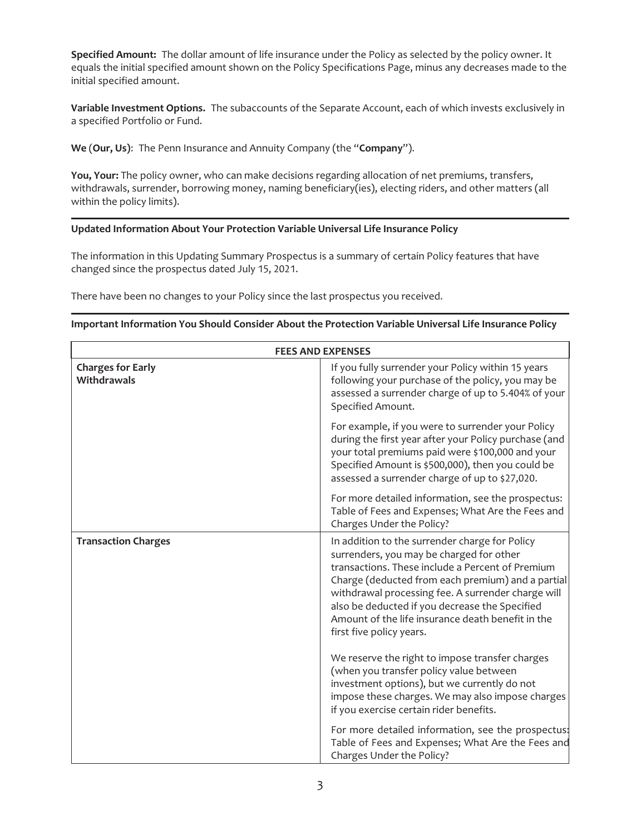**Specified Amount:** The dollar amount of life insurance under the Policy as selected by the policy owner. It equals the initial specified amount shown on the Policy Specifications Page, minus any decreases made to the initial specified amount.

**Variable Investment Options.** The subaccounts of the Separate Account, each of which invests exclusively in a specified Portfolio or Fund.

**We** (**Our, Us)**: The Penn Insurance and Annuity Company (the "**Company**").

**You, Your:** The policy owner, who can make decisions regarding allocation of net premiums, transfers, withdrawals, surrender, borrowing money, naming beneficiary(ies), electing riders, and other matters (all within the policy limits).

# <span id="page-2-0"></span>**Updated Information About Your Protection Variable Universal Life Insurance Policy**

The information in this Updating Summary Prospectus is a summary of certain Policy features that have changed since the prospectus dated July 15, 2021.

<span id="page-2-1"></span>There have been no changes to your Policy since the last prospectus you received.

## **Important Information You Should Consider About the Protection Variable Universal Life Insurance Policy**

| <b>FEES AND EXPENSES</b>                       |                                                                                                                                                                                                                                                                                                                                                                                              |  |  |
|------------------------------------------------|----------------------------------------------------------------------------------------------------------------------------------------------------------------------------------------------------------------------------------------------------------------------------------------------------------------------------------------------------------------------------------------------|--|--|
| <b>Charges for Early</b><br><b>Withdrawals</b> | If you fully surrender your Policy within 15 years<br>following your purchase of the policy, you may be<br>assessed a surrender charge of up to 5.404% of your<br>Specified Amount.                                                                                                                                                                                                          |  |  |
|                                                | For example, if you were to surrender your Policy<br>during the first year after your Policy purchase (and<br>your total premiums paid were \$100,000 and your<br>Specified Amount is \$500,000), then you could be<br>assessed a surrender charge of up to \$27,020.                                                                                                                        |  |  |
|                                                | For more detailed information, see the prospectus:<br>Table of Fees and Expenses; What Are the Fees and<br>Charges Under the Policy?                                                                                                                                                                                                                                                         |  |  |
| <b>Transaction Charges</b>                     | In addition to the surrender charge for Policy<br>surrenders, you may be charged for other<br>transactions. These include a Percent of Premium<br>Charge (deducted from each premium) and a partial<br>withdrawal processing fee. A surrender charge will<br>also be deducted if you decrease the Specified<br>Amount of the life insurance death benefit in the<br>first five policy years. |  |  |
|                                                | We reserve the right to impose transfer charges<br>(when you transfer policy value between<br>investment options), but we currently do not<br>impose these charges. We may also impose charges<br>if you exercise certain rider benefits.                                                                                                                                                    |  |  |
|                                                | For more detailed information, see the prospectus:<br>Table of Fees and Expenses; What Are the Fees and<br>Charges Under the Policy?                                                                                                                                                                                                                                                         |  |  |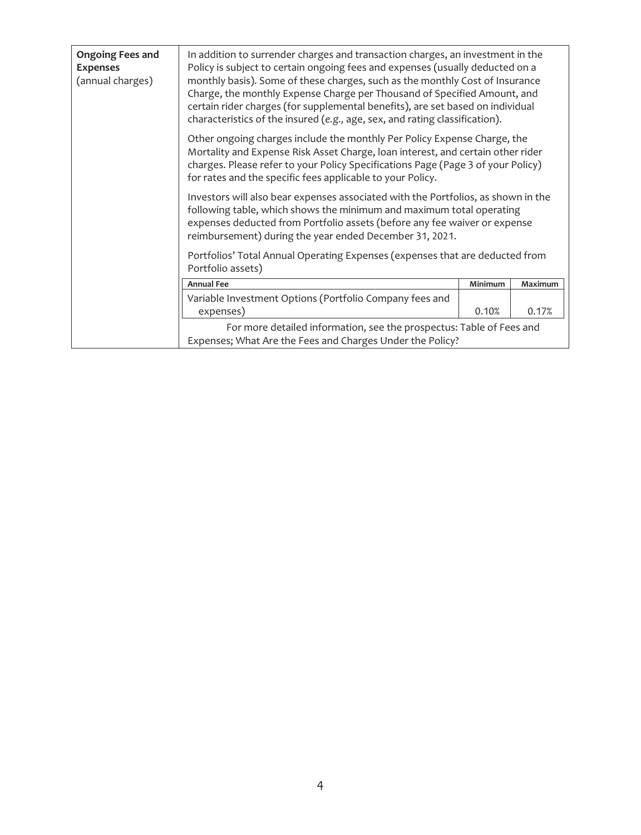| <b>Ongoing Fees and</b><br><b>Expenses</b><br>(annual charges) | In addition to surrender charges and transaction charges, an investment in the<br>Policy is subject to certain ongoing fees and expenses (usually deducted on a<br>monthly basis). Some of these charges, such as the monthly Cost of Insurance<br>Charge, the monthly Expense Charge per Thousand of Specified Amount, and<br>certain rider charges (for supplemental benefits), are set based on individual<br>characteristics of the insured (e.g., age, sex, and rating classification). |         |         |  |
|----------------------------------------------------------------|----------------------------------------------------------------------------------------------------------------------------------------------------------------------------------------------------------------------------------------------------------------------------------------------------------------------------------------------------------------------------------------------------------------------------------------------------------------------------------------------|---------|---------|--|
|                                                                | Other ongoing charges include the monthly Per Policy Expense Charge, the<br>Mortality and Expense Risk Asset Charge, loan interest, and certain other rider<br>charges. Please refer to your Policy Specifications Page (Page 3 of your Policy)<br>for rates and the specific fees applicable to your Policy.                                                                                                                                                                                |         |         |  |
|                                                                | Investors will also bear expenses associated with the Portfolios, as shown in the<br>following table, which shows the minimum and maximum total operating<br>expenses deducted from Portfolio assets (before any fee waiver or expense<br>reimbursement) during the year ended December 31, 2021.                                                                                                                                                                                            |         |         |  |
|                                                                | Portfolios' Total Annual Operating Expenses (expenses that are deducted from<br>Portfolio assets)                                                                                                                                                                                                                                                                                                                                                                                            |         |         |  |
|                                                                | <b>Annual Fee</b>                                                                                                                                                                                                                                                                                                                                                                                                                                                                            | Minimum | Maximum |  |
|                                                                | Variable Investment Options (Portfolio Company fees and<br>expenses)                                                                                                                                                                                                                                                                                                                                                                                                                         | 0.10%   | 0.17%   |  |
|                                                                | For more detailed information, see the prospectus: Table of Fees and<br>Expenses; What Are the Fees and Charges Under the Policy?                                                                                                                                                                                                                                                                                                                                                            |         |         |  |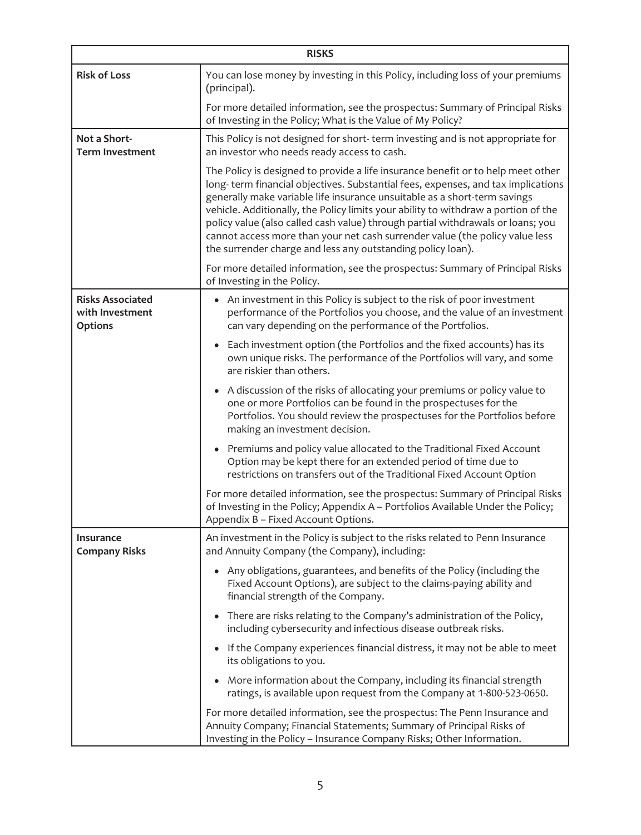| <b>RISKS</b>                                                 |                                                                                                                                                                                                                                                                                                                                                                                                                                                                                                                                                                           |  |  |  |
|--------------------------------------------------------------|---------------------------------------------------------------------------------------------------------------------------------------------------------------------------------------------------------------------------------------------------------------------------------------------------------------------------------------------------------------------------------------------------------------------------------------------------------------------------------------------------------------------------------------------------------------------------|--|--|--|
| <b>Risk of Loss</b>                                          | You can lose money by investing in this Policy, including loss of your premiums<br>(principal).                                                                                                                                                                                                                                                                                                                                                                                                                                                                           |  |  |  |
|                                                              | For more detailed information, see the prospectus: Summary of Principal Risks<br>of Investing in the Policy; What is the Value of My Policy?                                                                                                                                                                                                                                                                                                                                                                                                                              |  |  |  |
| Not a Short-<br><b>Term Investment</b>                       | This Policy is not designed for short-term investing and is not appropriate for<br>an investor who needs ready access to cash.                                                                                                                                                                                                                                                                                                                                                                                                                                            |  |  |  |
|                                                              | The Policy is designed to provide a life insurance benefit or to help meet other<br>long-term financial objectives. Substantial fees, expenses, and tax implications<br>generally make variable life insurance unsuitable as a short-term savings<br>vehicle. Additionally, the Policy limits your ability to withdraw a portion of the<br>policy value (also called cash value) through partial withdrawals or loans; you<br>cannot access more than your net cash surrender value (the policy value less<br>the surrender charge and less any outstanding policy loan). |  |  |  |
|                                                              | For more detailed information, see the prospectus: Summary of Principal Risks<br>of Investing in the Policy.                                                                                                                                                                                                                                                                                                                                                                                                                                                              |  |  |  |
| <b>Risks Associated</b><br>with Investment<br><b>Options</b> | • An investment in this Policy is subject to the risk of poor investment<br>performance of the Portfolios you choose, and the value of an investment<br>can vary depending on the performance of the Portfolios.                                                                                                                                                                                                                                                                                                                                                          |  |  |  |
|                                                              | Each investment option (the Portfolios and the fixed accounts) has its<br>own unique risks. The performance of the Portfolios will vary, and some<br>are riskier than others.                                                                                                                                                                                                                                                                                                                                                                                             |  |  |  |
|                                                              | A discussion of the risks of allocating your premiums or policy value to<br>one or more Portfolios can be found in the prospectuses for the<br>Portfolios. You should review the prospectuses for the Portfolios before<br>making an investment decision.                                                                                                                                                                                                                                                                                                                 |  |  |  |
|                                                              | Premiums and policy value allocated to the Traditional Fixed Account<br>Option may be kept there for an extended period of time due to<br>restrictions on transfers out of the Traditional Fixed Account Option                                                                                                                                                                                                                                                                                                                                                           |  |  |  |
|                                                              | For more detailed information, see the prospectus: Summary of Principal Risks<br>of Investing in the Policy; Appendix A - Portfolios Available Under the Policy;<br>Appendix B - Fixed Account Options.                                                                                                                                                                                                                                                                                                                                                                   |  |  |  |
| <b>Insurance</b><br><b>Company Risks</b>                     | An investment in the Policy is subject to the risks related to Penn Insurance<br>and Annuity Company (the Company), including:                                                                                                                                                                                                                                                                                                                                                                                                                                            |  |  |  |
|                                                              | • Any obligations, guarantees, and benefits of the Policy (including the<br>Fixed Account Options), are subject to the claims-paying ability and<br>financial strength of the Company.                                                                                                                                                                                                                                                                                                                                                                                    |  |  |  |
|                                                              | There are risks relating to the Company's administration of the Policy,<br>including cybersecurity and infectious disease outbreak risks.                                                                                                                                                                                                                                                                                                                                                                                                                                 |  |  |  |
|                                                              | • If the Company experiences financial distress, it may not be able to meet<br>its obligations to you.                                                                                                                                                                                                                                                                                                                                                                                                                                                                    |  |  |  |
|                                                              | More information about the Company, including its financial strength<br>ratings, is available upon request from the Company at 1-800-523-0650.                                                                                                                                                                                                                                                                                                                                                                                                                            |  |  |  |
|                                                              | For more detailed information, see the prospectus: The Penn Insurance and<br>Annuity Company; Financial Statements; Summary of Principal Risks of<br>Investing in the Policy - Insurance Company Risks; Other Information.                                                                                                                                                                                                                                                                                                                                                |  |  |  |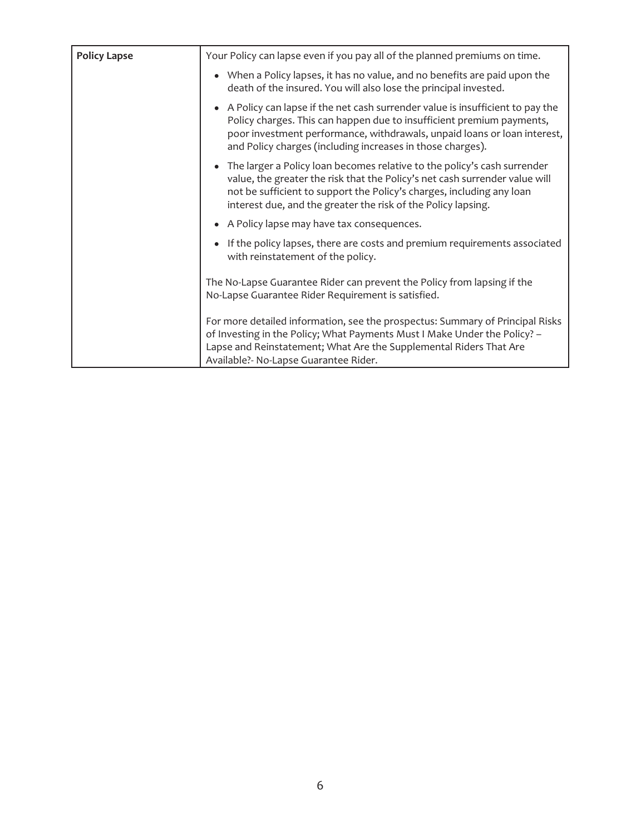| <b>Policy Lapse</b> | Your Policy can lapse even if you pay all of the planned premiums on time.                                                                                                                                                                                                                         |
|---------------------|----------------------------------------------------------------------------------------------------------------------------------------------------------------------------------------------------------------------------------------------------------------------------------------------------|
|                     | • When a Policy lapses, it has no value, and no benefits are paid upon the<br>death of the insured. You will also lose the principal invested.                                                                                                                                                     |
|                     | • A Policy can lapse if the net cash surrender value is insufficient to pay the<br>Policy charges. This can happen due to insufficient premium payments,<br>poor investment performance, withdrawals, unpaid loans or loan interest,<br>and Policy charges (including increases in those charges). |
|                     | The larger a Policy loan becomes relative to the policy's cash surrender<br>value, the greater the risk that the Policy's net cash surrender value will<br>not be sufficient to support the Policy's charges, including any loan<br>interest due, and the greater the risk of the Policy lapsing.  |
|                     | A Policy lapse may have tax consequences.                                                                                                                                                                                                                                                          |
|                     | If the policy lapses, there are costs and premium requirements associated<br>with reinstatement of the policy.                                                                                                                                                                                     |
|                     | The No-Lapse Guarantee Rider can prevent the Policy from lapsing if the<br>No-Lapse Guarantee Rider Requirement is satisfied.                                                                                                                                                                      |
|                     | For more detailed information, see the prospectus: Summary of Principal Risks<br>of Investing in the Policy; What Payments Must I Make Under the Policy? -<br>Lapse and Reinstatement; What Are the Supplemental Riders That Are<br>Available?- No-Lapse Guarantee Rider.                          |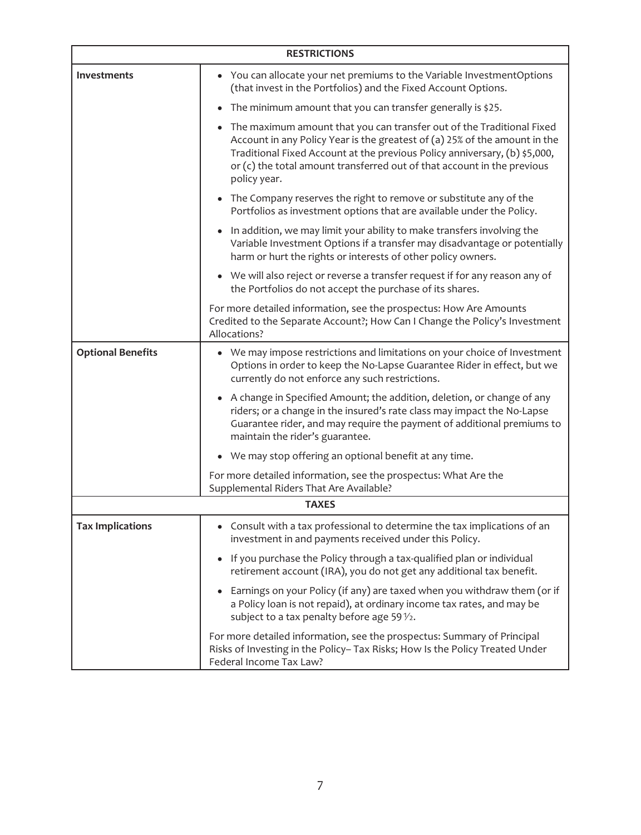| <b>RESTRICTIONS</b>      |                                                                                                                                                                                                                                                                                                                              |  |  |
|--------------------------|------------------------------------------------------------------------------------------------------------------------------------------------------------------------------------------------------------------------------------------------------------------------------------------------------------------------------|--|--|
| <b>Investments</b>       | • You can allocate your net premiums to the Variable InvestmentOptions<br>(that invest in the Portfolios) and the Fixed Account Options.                                                                                                                                                                                     |  |  |
|                          | The minimum amount that you can transfer generally is \$25.                                                                                                                                                                                                                                                                  |  |  |
|                          | The maximum amount that you can transfer out of the Traditional Fixed<br>Account in any Policy Year is the greatest of (a) 25% of the amount in the<br>Traditional Fixed Account at the previous Policy anniversary, (b) \$5,000,<br>or (c) the total amount transferred out of that account in the previous<br>policy year. |  |  |
|                          | • The Company reserves the right to remove or substitute any of the<br>Portfolios as investment options that are available under the Policy.                                                                                                                                                                                 |  |  |
|                          | In addition, we may limit your ability to make transfers involving the<br>Variable Investment Options if a transfer may disadvantage or potentially<br>harm or hurt the rights or interests of other policy owners.                                                                                                          |  |  |
|                          | • We will also reject or reverse a transfer request if for any reason any of<br>the Portfolios do not accept the purchase of its shares.                                                                                                                                                                                     |  |  |
|                          | For more detailed information, see the prospectus: How Are Amounts<br>Credited to the Separate Account?; How Can I Change the Policy's Investment<br>Allocations?                                                                                                                                                            |  |  |
| <b>Optional Benefits</b> | • We may impose restrictions and limitations on your choice of Investment<br>Options in order to keep the No-Lapse Guarantee Rider in effect, but we<br>currently do not enforce any such restrictions.                                                                                                                      |  |  |
|                          | A change in Specified Amount; the addition, deletion, or change of any<br>riders; or a change in the insured's rate class may impact the No-Lapse<br>Guarantee rider, and may require the payment of additional premiums to<br>maintain the rider's guarantee.                                                               |  |  |
|                          | • We may stop offering an optional benefit at any time.                                                                                                                                                                                                                                                                      |  |  |
|                          | For more detailed information, see the prospectus: What Are the<br>Supplemental Riders That Are Available?                                                                                                                                                                                                                   |  |  |
|                          | <b>TAXES</b>                                                                                                                                                                                                                                                                                                                 |  |  |
| <b>Tax Implications</b>  | Consult with a tax professional to determine the tax implications of an<br>investment in and payments received under this Policy.                                                                                                                                                                                            |  |  |
|                          | If you purchase the Policy through a tax-qualified plan or individual<br>retirement account (IRA), you do not get any additional tax benefit.                                                                                                                                                                                |  |  |
|                          | Earnings on your Policy (if any) are taxed when you withdraw them (or if<br>a Policy loan is not repaid), at ordinary income tax rates, and may be<br>subject to a tax penalty before age 59 $\frac{1}{2}$ .                                                                                                                 |  |  |
|                          | For more detailed information, see the prospectus: Summary of Principal<br>Risks of Investing in the Policy- Tax Risks; How Is the Policy Treated Under<br>Federal Income Tax Law?                                                                                                                                           |  |  |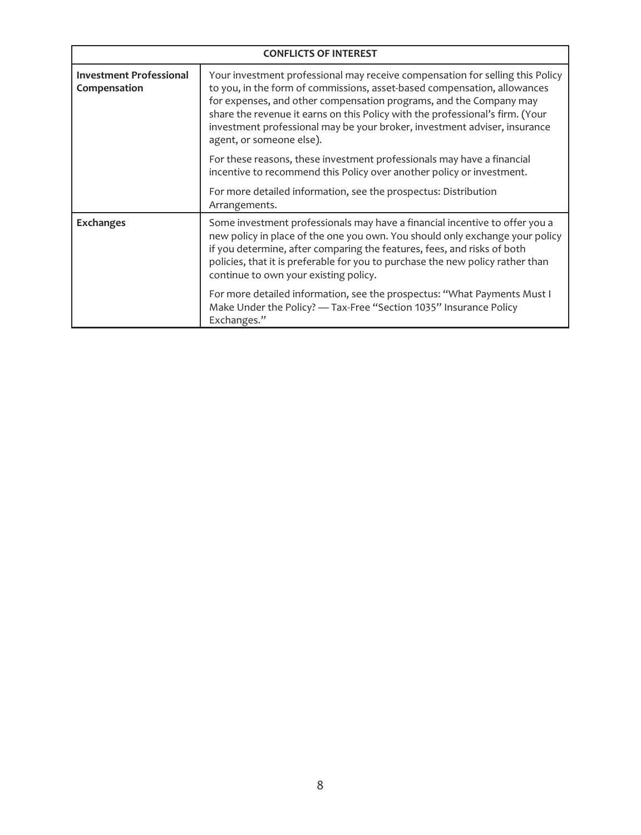| <b>CONFLICTS OF INTEREST</b>                   |                                                                                                                                                                                                                                                                                                                                                                                                                           |  |  |
|------------------------------------------------|---------------------------------------------------------------------------------------------------------------------------------------------------------------------------------------------------------------------------------------------------------------------------------------------------------------------------------------------------------------------------------------------------------------------------|--|--|
| <b>Investment Professional</b><br>Compensation | Your investment professional may receive compensation for selling this Policy<br>to you, in the form of commissions, asset-based compensation, allowances<br>for expenses, and other compensation programs, and the Company may<br>share the revenue it earns on this Policy with the professional's firm. (Your<br>investment professional may be your broker, investment adviser, insurance<br>agent, or someone else). |  |  |
|                                                | For these reasons, these investment professionals may have a financial<br>incentive to recommend this Policy over another policy or investment.                                                                                                                                                                                                                                                                           |  |  |
|                                                | For more detailed information, see the prospectus: Distribution<br>Arrangements.                                                                                                                                                                                                                                                                                                                                          |  |  |
| <b>Exchanges</b>                               | Some investment professionals may have a financial incentive to offer you a<br>new policy in place of the one you own. You should only exchange your policy<br>if you determine, after comparing the features, fees, and risks of both<br>policies, that it is preferable for you to purchase the new policy rather than<br>continue to own your existing policy.                                                         |  |  |
|                                                | For more detailed information, see the prospectus: "What Payments Must I<br>Make Under the Policy? - Tax-Free "Section 1035" Insurance Policy<br>Exchanges."                                                                                                                                                                                                                                                              |  |  |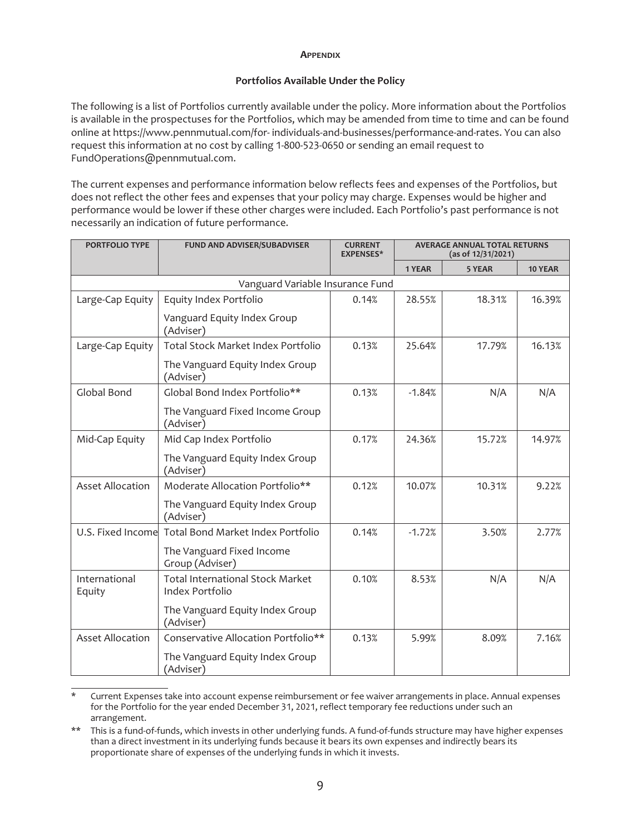#### **APPENDIX**

## **Portfolios Available Under the Policy**

<span id="page-8-0"></span>The following is a list of Portfolios currently available under the policy. More information about the Portfolios is available in the prospectuses for the Portfolios, which may be amended from time to time and can be found online at https://www.pennmutual.com/for- individuals-and-businesses/performance-and-rates. You can also request this information at no cost by calling 1-800-523-0650 or sending an email request to FundOperations@pennmutual.com.

The current expenses and performance information below reflects fees and expenses of the Portfolios, but does not reflect the other fees and expenses that your policy may charge. Expenses would be higher and performance would be lower if these other charges were included. Each Portfolio's past performance is not necessarily an indication of future performance.

| <b>PORTFOLIO TYPE</b>   | FUND AND ADVISER/SUBADVISER                                | <b>CURRENT</b><br><b>EXPENSES*</b> | <b>AVERAGE ANNUAL TOTAL RETURNS</b><br>(as of 12/31/2021) |        |         |
|-------------------------|------------------------------------------------------------|------------------------------------|-----------------------------------------------------------|--------|---------|
|                         |                                                            |                                    | 1 YEAR                                                    | 5 YEAR | 10 YEAR |
|                         | Vanguard Variable Insurance Fund                           |                                    |                                                           |        |         |
| Large-Cap Equity        | Equity Index Portfolio                                     | 0.14%                              | 28.55%                                                    | 18.31% | 16.39%  |
|                         | Vanguard Equity Index Group<br>(Adviser)                   |                                    |                                                           |        |         |
| Large-Cap Equity        | Total Stock Market Index Portfolio                         | 0.13%                              | 25.64%                                                    | 17.79% | 16.13%  |
|                         | The Vanguard Equity Index Group<br>(Adviser)               |                                    |                                                           |        |         |
| Global Bond             | Global Bond Index Portfolio**                              | 0.13%                              | $-1.84%$                                                  | N/A    | N/A     |
|                         | The Vanguard Fixed Income Group<br>(Adviser)               |                                    |                                                           |        |         |
| Mid-Cap Equity          | Mid Cap Index Portfolio                                    | 0.17%                              | 24.36%                                                    | 15.72% | 14.97%  |
|                         | The Vanguard Equity Index Group<br>(Adviser)               |                                    |                                                           |        |         |
| <b>Asset Allocation</b> | Moderate Allocation Portfolio**                            | 0.12%                              | 10.07%                                                    | 10.31% | 9.22%   |
|                         | The Vanguard Equity Index Group<br>(Adviser)               |                                    |                                                           |        |         |
| U.S. Fixed Income       | Total Bond Market Index Portfolio                          | 0.14%                              | $-1.72%$                                                  | 3.50%  | 2.77%   |
|                         | The Vanguard Fixed Income<br>Group (Adviser)               |                                    |                                                           |        |         |
| International<br>Equity | <b>Total International Stock Market</b><br>Index Portfolio | 0.10%                              | 8.53%                                                     | N/A    | N/A     |
|                         | The Vanguard Equity Index Group<br>(Adviser)               |                                    |                                                           |        |         |
| <b>Asset Allocation</b> | Conservative Allocation Portfolio**                        | 0.13%                              | 5.99%                                                     | 8.09%  | 7.16%   |
|                         | The Vanguard Equity Index Group<br>(Adviser)               |                                    |                                                           |        |         |

Current Expenses take into account expense reimbursement or fee waiver arrangements in place. Annual expenses for the Portfolio for the year ended December 31, 2021, reflect temporary fee reductions under such an arrangement.

<sup>\*\*</sup> This is a fund-of-funds, which invests in other underlying funds. A fund-of-funds structure may have higher expenses than a direct investment in its underlying funds because it bears its own expenses and indirectly bears its proportionate share of expenses of the underlying funds in which it invests.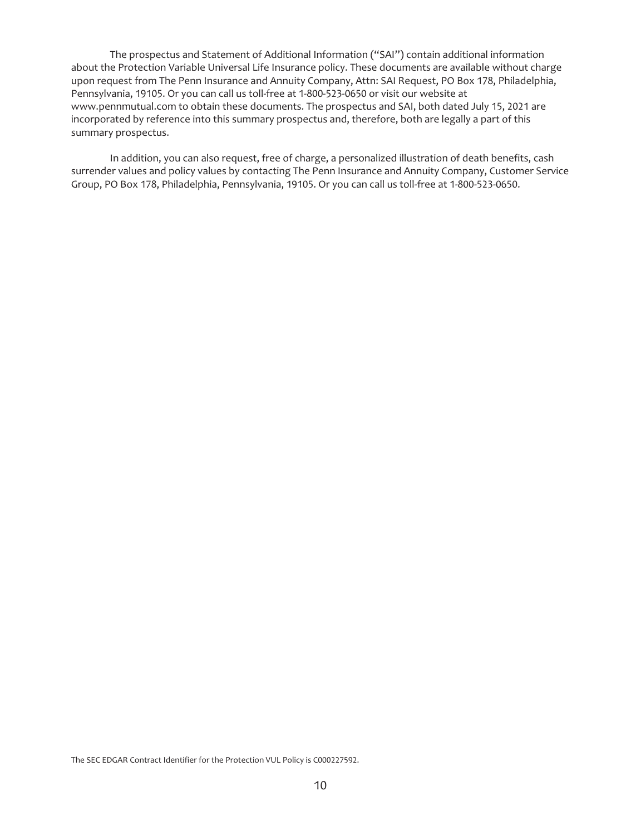The prospectus and Statement of Additional Information ("SAI") contain additional information about the Protection Variable Universal Life Insurance policy. These documents are available without charge upon request from The Penn Insurance and Annuity Company, Attn: SAI Request, PO Box 178, Philadelphia, Pennsylvania, 19105. Or you can call us toll-free at 1-800-523-0650 or visit our website at www.pennmutual.com to obtain these documents. The prospectus and SAI, both dated July 15, 2021 are incorporated by reference into this summary prospectus and, therefore, both are legally a part of this summary prospectus.

In addition, you can also request, free of charge, a personalized illustration of death benefits, cash surrender values and policy values by contacting The Penn Insurance and Annuity Company, Customer Service Group, PO Box 178, Philadelphia, Pennsylvania, 19105. Or you can call us toll-free at 1-800-523-0650.

The SEC EDGAR Contract Identifier for the Protection VUL Policy is C000227592.